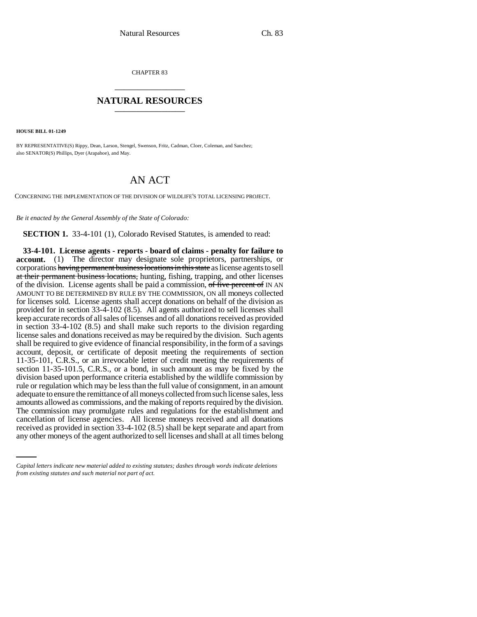CHAPTER 83 \_\_\_\_\_\_\_\_\_\_\_\_\_\_\_

## **NATURAL RESOURCES** \_\_\_\_\_\_\_\_\_\_\_\_\_\_\_

**HOUSE BILL 01-1249**

BY REPRESENTATIVE(S) Rippy, Dean, Larson, Stengel, Swenson, Fritz, Cadman, Cloer, Coleman, and Sanchez; also SENATOR(S) Phillips, Dyer (Arapahoe), and May.

## AN ACT

CONCERNING THE IMPLEMENTATION OF THE DIVISION OF WILDLIFE'S TOTAL LICENSING PROJECT.

*Be it enacted by the General Assembly of the State of Colorado:*

**SECTION 1.** 33-4-101 (1), Colorado Revised Statutes, is amended to read:

cancellation of license agencies. All license moneys received and all donations **33-4-101. License agents - reports - board of claims - penalty for failure to account.** (1) The director may designate sole proprietors, partnerships, or corporations having permanent business locations in this state as license agents to sell at their permanent business locations, hunting, fishing, trapping, and other licenses of the division. License agents shall be paid a commission, of five percent of IN AN AMOUNT TO BE DETERMINED BY RULE BY THE COMMISSION, ON all moneys collected for licenses sold. License agents shall accept donations on behalf of the division as provided for in section 33-4-102 (8.5). All agents authorized to sell licenses shall keep accurate records of all sales of licenses and of all donations received as provided in section 33-4-102 (8.5) and shall make such reports to the division regarding license sales and donations received as may be required by the division. Such agents shall be required to give evidence of financial responsibility, in the form of a savings account, deposit, or certificate of deposit meeting the requirements of section 11-35-101, C.R.S., or an irrevocable letter of credit meeting the requirements of section 11-35-101.5, C.R.S., or a bond, in such amount as may be fixed by the division based upon performance criteria established by the wildlife commission by rule or regulation which may be less than the full value of consignment, in an amount adequate to ensure the remittance of all moneys collected from such license sales, less amounts allowed as commissions, and the making of reports required by the division. The commission may promulgate rules and regulations for the establishment and received as provided in section 33-4-102 (8.5) shall be kept separate and apart from any other moneys of the agent authorized to sell licenses and shall at all times belong

*Capital letters indicate new material added to existing statutes; dashes through words indicate deletions from existing statutes and such material not part of act.*